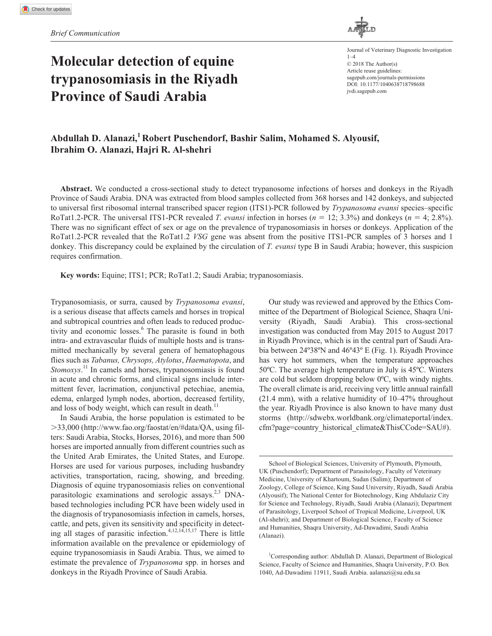# **Molecular detection of equine trypanosomiasis in the Riyadh Province of Saudi Arabia**



DOI: 10.1177/1040638718798688 Journal of Veterinary Diagnostic Investigation 1–4 © 2018 The Author(s) Article reuse guidelines: [sagepub.com/journals-permissions](https://us.sagepub.com/en-us/journals-permissions) [jvdi.sagepub.com](https://jvdi.sagepub.com)

# Abdullah D. Alanazi,<sup>1</sup> Robert Puschendorf, Bashir Salim, Mohamed S. Alyousif, **Ibrahim O. Alanazi, Hajri R. Al-shehri**

**Abstract.** We conducted a cross-sectional study to detect trypanosome infections of horses and donkeys in the Riyadh Province of Saudi Arabia. DNA was extracted from blood samples collected from 368 horses and 142 donkeys, and subjected to universal first ribosomal internal transcribed spacer region (ITS1)-PCR followed by *Trypanosoma evansi* species–specific RoTat1.2-PCR. The universal ITS1-PCR revealed *T. evansi* infection in horses ( $n = 12$ ; 3.3%) and donkeys ( $n = 4$ ; 2.8%). There was no significant effect of sex or age on the prevalence of trypanosomiasis in horses or donkeys. Application of the RoTat1.2-PCR revealed that the RoTat1.2 *VSG* gene was absent from the positive ITS1-PCR samples of 3 horses and 1 donkey. This discrepancy could be explained by the circulation of *T. evansi* type B in Saudi Arabia; however, this suspicion requires confirmation.

**Key words:** Equine; ITS1; PCR; RoTat1.2; Saudi Arabia; trypanosomiasis.

Trypanosomiasis, or surra, caused by *Trypanosoma evansi*, is a serious disease that affects camels and horses in tropical and subtropical countries and often leads to reduced productivity and economic losses.<sup>6</sup> The parasite is found in both intra- and extravascular fluids of multiple hosts and is transmitted mechanically by several genera of hematophagous flies such as *Tabanus, Chrysops, Atylotus*, *Haematopota*, and *Stomoxys*. 11 In camels and horses, trypanosomiasis is found in acute and chronic forms, and clinical signs include intermittent fever, lacrimation, conjunctival petechiae, anemia, edema, enlarged lymph nodes, abortion, decreased fertility, and loss of body weight, which can result in death.<sup>11</sup>

In Saudi Arabia, the horse population is estimated to be >33,000 [\(http://www.fao.org/faostat/en/#data/QA,](http://www.fao.org/faostat/en/#data/QA) using filters: Saudi Arabia, Stocks, Horses, 2016), and more than 500 horses are imported annually from different countries such as the United Arab Emirates, the United States, and Europe. Horses are used for various purposes, including husbandry activities, transportation, racing, showing, and breeding. Diagnosis of equine trypanosomiasis relies on conventional parasitologic examinations and serologic assays.<sup>2,3</sup> DNAbased technologies including PCR have been widely used in the diagnosis of trypanosomiasis infection in camels, horses, cattle, and pets, given its sensitivity and specificity in detecting all stages of parasitic infection.<sup>4,12,14,15,17</sup> There is little information available on the prevalence or epidemiology of equine trypanosomiasis in Saudi Arabia. Thus, we aimed to estimate the prevalence of *Trypanosoma* spp. in horses and donkeys in the Riyadh Province of Saudi Arabia.

Our study was reviewed and approved by the Ethics Committee of the Department of Biological Science, Shaqra University (Riyadh, Saudi Arabia). This cross-sectional investigation was conducted from May 2015 to August 2017 in Riyadh Province, which is in the central part of Saudi Arabia between 24º38ºN and 46º43º E (Fig. 1). Riyadh Province has very hot summers, when the temperature approaches 50ºC. The average high temperature in July is 45ºC. Winters are cold but seldom dropping below 0ºC, with windy nights. The overall climate is arid, receiving very little annual rainfall (21.4 mm), with a relative humidity of 10–47% throughout the year. Riyadh Province is also known to have many dust storms ([http://sdwebx.worldbank.org/climateportal/index.](http://sdwebx.worldbank.org/climateportal/index.cfm?page=country_historical_climate&ThisCCode=SAU#) [cfm?page=country\\_historical\\_climate&ThisCCode=SAU#\)](http://sdwebx.worldbank.org/climateportal/index.cfm?page=country_historical_climate&ThisCCode=SAU#).

<sup>1</sup>Corresponding author: Abdullah D. Alanazi, Department of Biological Science, Faculty of Science and Humanities, Shaqra University, P.O. Box 1040, Ad-Dawadimi 11911, Saudi Arabia. [aalanazi@su.edu.sa](mailto:aalanazi@su.edu.sa)

School of Biological Sciences, University of Plymouth, Plymouth, UK (Puschendorf); Department of Parasitology, Faculty of Veterinary Medicine, University of Khartoum, Sudan (Salim); Department of Zoology, College of Science, King Saud University, Riyadh, Saudi Arabia (Alyousif); The National Center for Biotechnology, King Abdulaziz City for Science and Technology, Riyadh, Saudi Arabia (Alanazi); Department of Parasitology, Liverpool School of Tropical Medicine, Liverpool, UK (Al-shehri); and Department of Biological Science, Faculty of Science and Humanities, Shaqra University, Ad-Dawadimi, Saudi Arabia (Alanazi).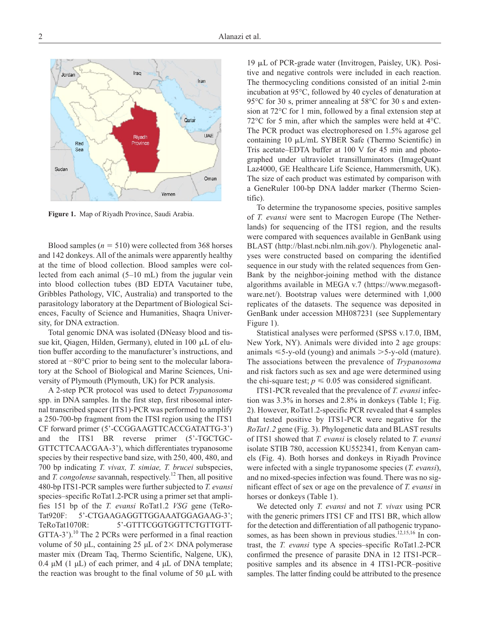

**Figure 1.** Map of Riyadh Province, Saudi Arabia.

Blood samples  $(n = 510)$  were collected from 368 horses and 142 donkeys. All of the animals were apparently healthy at the time of blood collection. Blood samples were collected from each animal (5–10 mL) from the jugular vein into blood collection tubes (BD EDTA Vacutainer tube, Gribbles Pathology, VIC, Australia) and transported to the parasitology laboratory at the Department of Biological Sciences, Faculty of Science and Humanities, Shaqra University, for DNA extraction.

Total genomic DNA was isolated (DNeasy blood and tissue kit, Qiagen, Hilden, Germany), eluted in 100 μL of elution buffer according to the manufacturer's instructions, and stored at −80°C prior to being sent to the molecular laboratory at the School of Biological and Marine Sciences, University of Plymouth (Plymouth, UK) for PCR analysis.

A 2-step PCR protocol was used to detect *Trypanosoma* spp. in DNA samples. In the first step, first ribosomal internal transcribed spacer (ITS1)-PCR was performed to amplify a 250-700-bp fragment from the ITSI region using the ITS1 CF forward primer (5'-CCGGAAGTTCACCGATATTG-3') and the ITS1 BR reverse primer (5'-TGCTGC-GTTCTTCAACGAA-3'), which differentiates trypanosome species by their respective band size, with 250, 400, 480, and 700 bp indicating *T. vivax, T. simiae, T. brucei* subspecies, and *T. congolense* savannah, respectively.12 Then, all positive 480-bp ITS1-PCR samples were further subjected to *T. evansi* species–specific RoTat1.2-PCR using a primer set that amplifies 151 bp of the *T. evansi* RoTat1.2 *VSG* gene (TeRo-Tat920F: 5'-CTGAAGAGGTTGGAAATGGAGAAG-3'; TeRoTat1070R: 5'-GTTTCGGTGGTTCTGTTGTT-GTTA-3').<sup>10</sup> The 2 PCRs were performed in a final reaction volume of 50  $\mu$ L, containing 25  $\mu$ L of 2× DNA polymerase master mix (Dream Taq, Thermo Scientific, Nalgene, UK), 0.4  $\mu$ M (1  $\mu$ L) of each primer, and 4  $\mu$ L of DNA template; the reaction was brought to the final volume of 50 μL with

19 μL of PCR-grade water (Invitrogen, Paisley, UK). Positive and negative controls were included in each reaction. The thermocycling conditions consisted of an initial 2-min incubation at 95°C, followed by 40 cycles of denaturation at 95°C for 30 s, primer annealing at 58°C for 30 s and extension at 72°C for 1 min, followed by a final extension step at 72°C for 5 min, after which the samples were held at 4°C. The PCR product was electrophoresed on 1.5% agarose gel containing 10 μL/mL SYBER Safe (Thermo Scientific) in Tris acetate–EDTA buffer at 100 V for 45 min and photographed under ultraviolet transilluminators (ImageQuant Laz4000, GE Healthcare Life Science, Hammersmith, UK). The size of each product was estimated by comparison with a GeneRuler 100-bp DNA ladder marker (Thermo Scientific).

To determine the trypanosome species, positive samples of *T. evansi* were sent to Macrogen Europe (The Netherlands) for sequencing of the ITS1 region, and the results were compared with sequences available in GenBank using BLAST ([http://blast.ncbi.nlm.nih.gov/\)](http://blast.ncbi.nlm.nih.gov/). Phylogenetic analyses were constructed based on comparing the identified sequence in our study with the related sequences from Gen-Bank by the neighbor-joining method with the distance algorithms available in MEGA v.7 ([https://www.megasoft](https://www.megasoftware.net/). Bootstrap values were determined with 1,000 replicates of the datasets. The sequence was deposited in GenBank under accession MH087231 (see Supplementary Figure 1))[ware.net/\). Bootstrap values were determined with 1,000](https://www.megasoftware.net/). Bootstrap values were determined with 1,000 replicates of the datasets. The sequence was deposited in GenBank under accession MH087231 (see Supplementary Figure 1))  [replicates of the datasets. The sequence was deposited in](https://www.megasoftware.net/). Bootstrap values were determined with 1,000 replicates of the datasets. The sequence was deposited in GenBank under accession MH087231 (see Supplementary Figure 1)) GenBank under accession MH087231 (se[e Supplementary](http://journals.sagepub.com/doi/suppl/10.1177/1040638718797379) [Figure 1](http://journals.sagepub.com/doi/suppl/10.1177/1040638718797379)).

Statistical analyses were performed (SPSS v.17.0, IBM, New York, NY). Animals were divided into 2 age groups: animals  $\leq 5$ -y-old (young) and animals  $>5$ -y-old (mature). The associations between the prevalence of *Trypanosoma* and risk factors such as sex and age were determined using the chi-square test;  $p \le 0.05$  was considered significant.

ITS1-PCR revealed that the prevalence of *T. evansi* infection was 3.3% in horses and 2.8% in donkeys (Table 1; Fig. 2). However, RoTat1.2-specific PCR revealed that 4 samples that tested positive by ITS1-PCR were negative for the *RoTat1.2* gene (Fig. 3). Phylogenetic data and BLAST results of ITS1 showed that *T. evansi* is closely related to *T. evansi* isolate STIB 780, accession KU552341, from Kenyan camels (Fig. 4). Both horses and donkeys in Riyadh Province were infected with a single trypanosome species (*T. evansi*), and no mixed-species infection was found. There was no significant effect of sex or age on the prevalence of *T. evansi* in horses or donkeys (Table 1).

We detected only *T. evansi* and not *T. vivax* using PCR with the generic primers ITS1 CF and ITS1 BR, which allow for the detection and differentiation of all pathogenic trypanosomes, as has been shown in previous studies.<sup>12,15,16</sup> In contrast, the *T. evansi* type A species–specific RoTat1.2-PCR confirmed the presence of parasite DNA in 12 ITS1-PCR– positive samples and its absence in 4 ITS1-PCR–positive samples. The latter finding could be attributed to the presence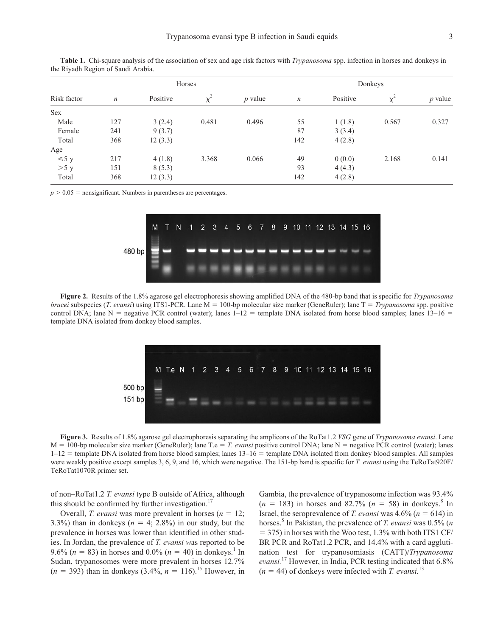| Risk factor | Horses  |          |          |           | Donkeys          |          |          |           |
|-------------|---------|----------|----------|-----------|------------------|----------|----------|-----------|
|             | $\it n$ | Positive | $\chi^2$ | $p$ value | $\boldsymbol{n}$ | Positive | $\chi^2$ | $p$ value |
| <b>Sex</b>  |         |          |          |           |                  |          |          |           |
| Male        | 127     | 3(2.4)   | 0.481    | 0.496     | 55               | 1(1.8)   | 0.567    | 0.327     |
| Female      | 241     | 9(3.7)   |          |           | 87               | 3(3.4)   |          |           |
| Total       | 368     | 12(3.3)  |          |           | 142              | 4(2.8)   |          |           |
| Age         |         |          |          |           |                  |          |          |           |
| $\leq 5$ y  | 217     | 4(1.8)   | 3.368    | 0.066     | 49               | 0(0.0)   | 2.168    | 0.141     |
| >5 y        | 151     | 8(5.3)   |          |           | 93               | 4(4.3)   |          |           |
| Total       | 368     | 12(3.3)  |          |           | 142              | 4(2.8)   |          |           |

**Table 1.** Chi-square analysis of the association of sex and age risk factors with *Trypanosoma* spp. infection in horses and donkeys in the Riyadh Region of Saudi Arabia.

 $p > 0.05$  = nonsignificant. Numbers in parentheses are percentages.



**Figure 2.** Results of the 1.8% agarose gel electrophoresis showing amplified DNA of the 480-bp band that is specific for *Trypanosoma brucei* subspecies (*T. evansi*) using ITS1-PCR. Lane M = 100-bp molecular size marker (GeneRuler); lane T = *Trypanosoma* spp. positive control DNA; lane N = negative PCR control (water); lanes  $1-12$  = template DNA isolated from horse blood samples; lanes  $13-16$  = template DNA isolated from donkey blood samples.



**Figure 3.** Results of 1.8% agarose gel electrophoresis separating the amplicons of the RoTat1.2 *VSG* gene of *Trypanosoma evansi*. Lane  $M = 100$ -bp molecular size marker (GeneRuler); lane T.e = *T. evansi* positive control DNA; lane N = negative PCR control (water); lanes 1–12 = template DNA isolated from horse blood samples; lanes 13–16 = template DNA isolated from donkey blood samples. All samples were weakly positive except samples 3, 6, 9, and 16, which were negative. The 151-bp band is specific for *T. evansi* using the TeRoTat920F/ TeRoTat1070R primer set.

of non–RoTat1.2 *T. evansi* type B outside of Africa, although this should be confirmed by further investigation.<sup>17</sup>

Overall, *T. evansi* was more prevalent in horses (*n* = 12; 3.3%) than in donkeys  $(n = 4, 2.8\%)$  in our study, but the prevalence in horses was lower than identified in other studies. In Jordan, the prevalence of *T. evansi w*as reported to be 9.6% ( $n = 83$ ) in horses and 0.0% ( $n = 40$ ) in donkeys.<sup>1</sup> In Sudan, trypanosomes were more prevalent in horses 12.7%  $(n = 393)$  than in donkeys  $(3.4\%, n = 116).^{15}$  However, in

Gambia, the prevalence of trypanosome infection was 93.4%  $(n = 183)$  in horses and 82.7%  $(n = 58)$  in donkeys.<sup>8</sup> In Israel, the seroprevalence of *T. evansi* was  $4.6\%$  ( $n = 614$ ) in horses.5 In Pakistan, the prevalence of *T. evansi* was 0.5% (*n*  $= 375$ ) in horses with the Woo test, 1.3% with both ITS1 CF/ BR PCR and RoTat1.2 PCR, and 14.4% with a card agglutination test for trypanosomiasis (CATT)/*Trypanosoma evansi.*17 However, in India, PCR testing indicated that 6.8%  $(n = 44)$  of donkeys were infected with *T. evansi.*<sup>13</sup>